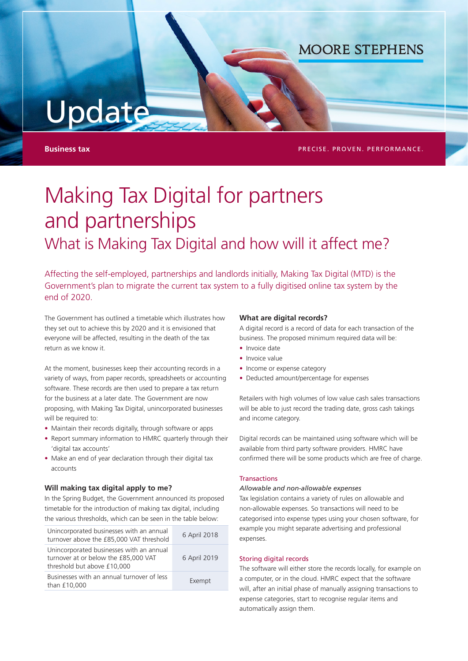# Update

**Business tax PRECISE. PROVEN. PERFORMANCE. PRECISE.** PROVEN. PERFORMANCE.

**MOORE STEPHENS** 

# Making Tax Digital for partners and partnerships What is Making Tax Digital and how will it affect me?

Affecting the self-employed, partnerships and landlords initially, Making Tax Digital (MTD) is the Government's plan to migrate the current tax system to a fully digitised online tax system by the end of 2020.

The Government has outlined a timetable which illustrates how they set out to achieve this by 2020 and it is envisioned that everyone will be affected, resulting in the death of the tax return as we know it.

At the moment, businesses keep their accounting records in a variety of ways, from paper records, spreadsheets or accounting software. These records are then used to prepare a tax return for the business at a later date. The Government are now proposing, with Making Tax Digital, unincorporated businesses will be required to:

- Maintain their records digitally, through software or apps
- Report summary information to HMRC quarterly through their 'digital tax accounts'
- Make an end of year declaration through their digital tax accounts

#### **Will making tax digital apply to me?**

In the Spring Budget, the Government announced its proposed timetable for the introduction of making tax digital, including the various thresholds, which can be seen in the table below:

| Unincorporated businesses with an annual<br>turnover above the £85,000 VAT threshold                            | 6 April 2018 |
|-----------------------------------------------------------------------------------------------------------------|--------------|
| Unincorporated businesses with an annual<br>turnover at or below the £85,000 VAT<br>threshold but above £10,000 | 6 April 2019 |
| Businesses with an annual turnover of less<br>than £10,000                                                      | Exempt       |

# **What are digital records?**

A digital record is a record of data for each transaction of the business. The proposed minimum required data will be:

- Invoice date
- Invoice value
- Income or expense category
- Deducted amount/percentage for expenses

Retailers with high volumes of low value cash sales transactions will be able to just record the trading date, gross cash takings and income category.

Digital records can be maintained using software which will be available from third party software providers. HMRC have confirmed there will be some products which are free of charge.

# Transactions

#### *Allowable and non-allowable expenses*

Tax legislation contains a variety of rules on allowable and non-allowable expenses. So transactions will need to be categorised into expense types using your chosen software, for example you might separate advertising and professional expenses.

#### Storing digital records

The software will either store the records locally, for example on a computer, or in the cloud. HMRC expect that the software will, after an initial phase of manually assigning transactions to expense categories, start to recognise regular items and automatically assign them.